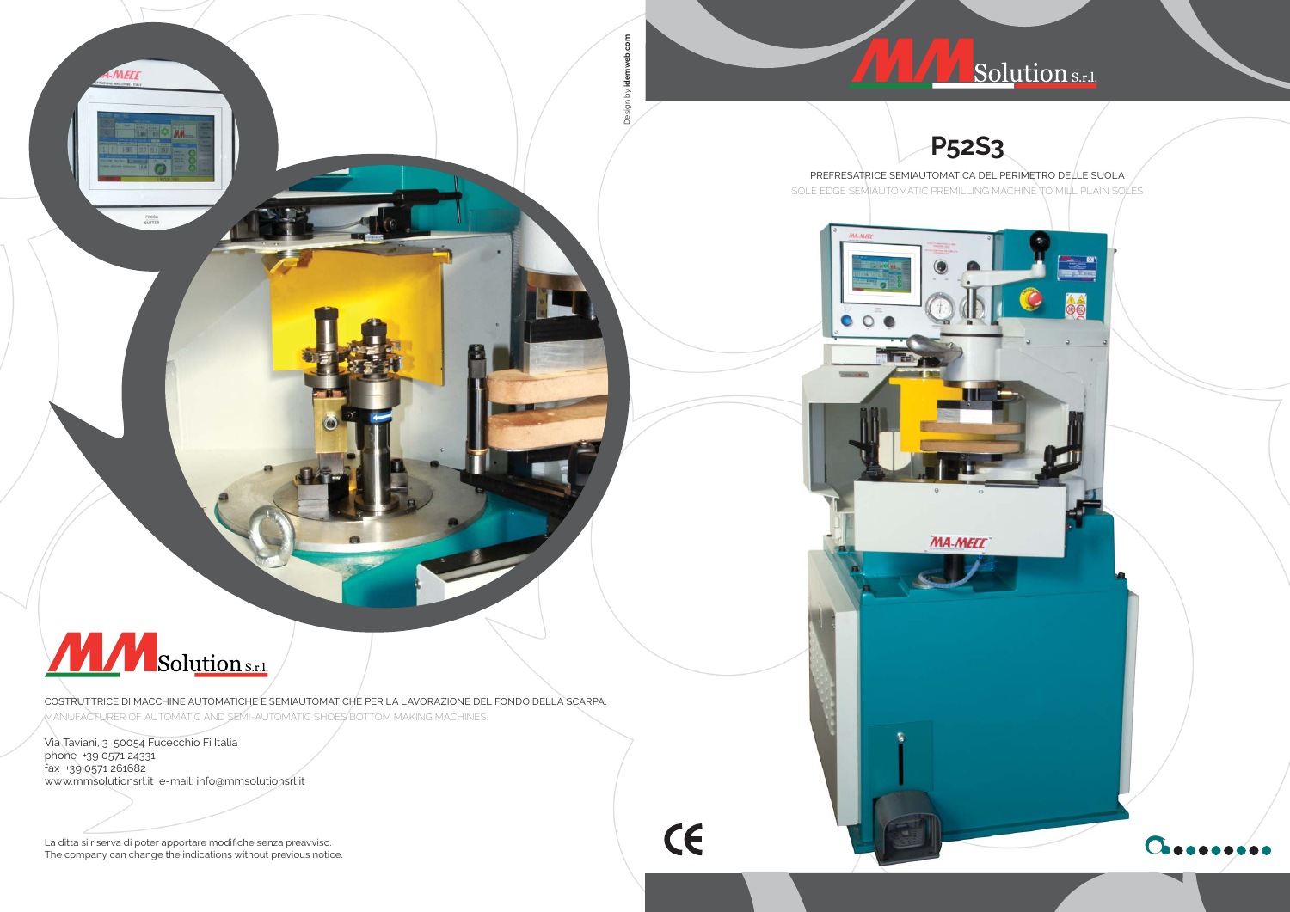eb.com Design by **idemweb.com** iden

CE

 $\gtrapprox$ 

## **P52S3**





SOLE EDGE SEMIAUTOMATIC PREMILLING MACHINE TO MILL PLAIN SOLES

 $\circ$   $\circ$ 



**MA-MELL** 



MELL

当立面

FRESA<br>CUTTER

COSTRUTTRICE DI MACCHINE AUTOMATICHE E SEMIAUTOMATICHE PER LA LAVORAZIONE DEL FONDO DELLA SCARPA. MANUFACTURER OF AUTOMATIC AND SEMI-AUTOMATIC SHOES BOTTOM MAKING MACHINES.

La ditta si riserva di poter apportare modifiche senza preavviso. The company can change the indications without previous notice.

# A A Solution s.r.l.

Via Taviani, 3 50054 Fucecchio Fi Italia phone +39 0571 24331 fax +39 0571 261682 www.mmsolutionsrl.it e-mail: info@mmsolutionsrl.it